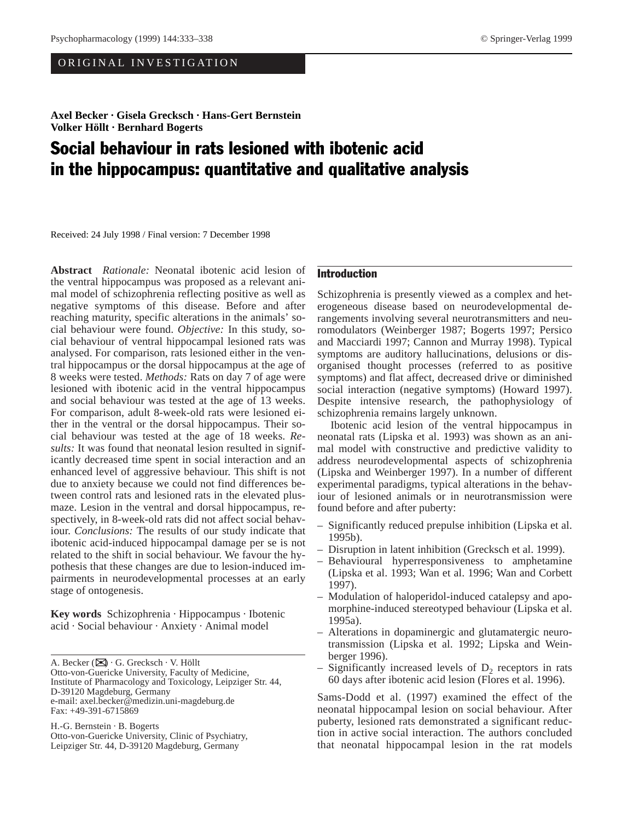**Axel Becker · Gisela Grecksch · Hans-Gert Bernstein Volker Höllt · Bernhard Bogerts**

# Social behaviour in rats lesioned with ibotenic acid in the hippocampus: quantitative and qualitative analysis

Received: 24 July 1998 / Final version: 7 December 1998

**Abstract** *Rationale:* Neonatal ibotenic acid lesion of the ventral hippocampus was proposed as a relevant animal model of schizophrenia reflecting positive as well as negative symptoms of this disease. Before and after reaching maturity, specific alterations in the animals' social behaviour were found. *Objective:* In this study, social behaviour of ventral hippocampal lesioned rats was analysed. For comparison, rats lesioned either in the ventral hippocampus or the dorsal hippocampus at the age of 8 weeks were tested. *Methods:* Rats on day 7 of age were lesioned with ibotenic acid in the ventral hippocampus and social behaviour was tested at the age of 13 weeks. For comparison, adult 8-week-old rats were lesioned either in the ventral or the dorsal hippocampus. Their social behaviour was tested at the age of 18 weeks. *Results:* It was found that neonatal lesion resulted in significantly decreased time spent in social interaction and an enhanced level of aggressive behaviour. This shift is not due to anxiety because we could not find differences between control rats and lesioned rats in the elevated plusmaze. Lesion in the ventral and dorsal hippocampus, respectively, in 8-week-old rats did not affect social behaviour. *Conclusions:* The results of our study indicate that ibotenic acid-induced hippocampal damage per se is not related to the shift in social behaviour. We favour the hypothesis that these changes are due to lesion-induced impairments in neurodevelopmental processes at an early stage of ontogenesis.

**Key words** Schizophrenia · Hippocampus · Ibotenic acid · Social behaviour · Anxiety · Animal model

A. Becker (✉) · G. Grecksch · V. Höllt Otto-von-Guericke University, Faculty of Medicine, Institute of Pharmacology and Toxicology, Leipziger Str. 44, D-39120 Magdeburg, Germany e-mail: axel.becker@medizin.uni-magdeburg.de Fax: +49-391-6715869

H.-G. Bernstein · B. Bogerts Otto-von-Guericke University, Clinic of Psychiatry, Leipziger Str. 44, D-39120 Magdeburg, Germany

## Introduction

Schizophrenia is presently viewed as a complex and heterogeneous disease based on neurodevelopmental derangements involving several neurotransmitters and neuromodulators (Weinberger 1987; Bogerts 1997; Persico and Macciardi 1997; Cannon and Murray 1998). Typical symptoms are auditory hallucinations, delusions or disorganised thought processes (referred to as positive symptoms) and flat affect, decreased drive or diminished social interaction (negative symptoms) (Howard 1997). Despite intensive research, the pathophysiology of schizophrenia remains largely unknown.

Ibotenic acid lesion of the ventral hippocampus in neonatal rats (Lipska et al. 1993) was shown as an animal model with constructive and predictive validity to address neurodevelopmental aspects of schizophrenia (Lipska and Weinberger 1997). In a number of different experimental paradigms, typical alterations in the behaviour of lesioned animals or in neurotransmission were found before and after puberty:

- Significantly reduced prepulse inhibition (Lipska et al. 1995b).
- Disruption in latent inhibition (Grecksch et al. 1999).
- Behavioural hyperresponsiveness to amphetamine (Lipska et al. 1993; Wan et al. 1996; Wan and Corbett 1997).
- Modulation of haloperidol-induced catalepsy and apomorphine-induced stereotyped behaviour (Lipska et al. 1995a).
- Alterations in dopaminergic and glutamatergic neurotransmission (Lipska et al. 1992; Lipska and Weinberger 1996).
- Significantly increased levels of  $D<sub>2</sub>$  receptors in rats 60 days after ibotenic acid lesion (Flores et al. 1996).

Sams-Dodd et al. (1997) examined the effect of the neonatal hippocampal lesion on social behaviour. After puberty, lesioned rats demonstrated a significant reduction in active social interaction. The authors concluded that neonatal hippocampal lesion in the rat models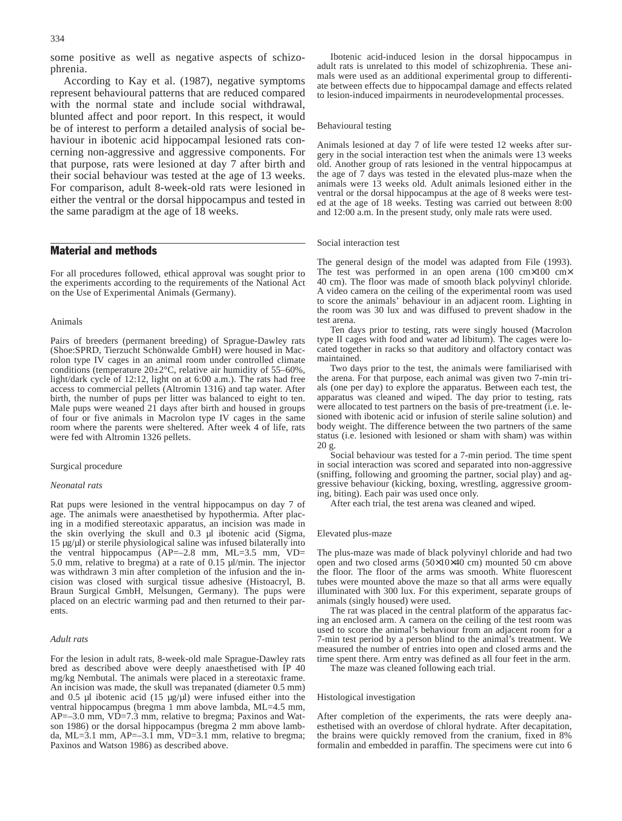some positive as well as negative aspects of schizophrenia.

According to Kay et al. (1987), negative symptoms represent behavioural patterns that are reduced compared with the normal state and include social withdrawal, blunted affect and poor report. In this respect, it would be of interest to perform a detailed analysis of social behaviour in ibotenic acid hippocampal lesioned rats concerning non-aggressive and aggressive components. For that purpose, rats were lesioned at day 7 after birth and their social behaviour was tested at the age of 13 weeks. For comparison, adult 8-week-old rats were lesioned in either the ventral or the dorsal hippocampus and tested in the same paradigm at the age of 18 weeks.

### Material and methods

For all procedures followed, ethical approval was sought prior to the experiments according to the requirements of the National Act on the Use of Experimental Animals (Germany).

#### Animals

Pairs of breeders (permanent breeding) of Sprague-Dawley rats (Shoe:SPRD, Tierzucht Schönwalde GmbH) were housed in Macrolon type IV cages in an animal room under controlled climate conditions (temperature  $20 \pm 2^{\circ}$ C, relative air humidity of 55–60%, light/dark cycle of 12:12, light on at 6:00 a.m.). The rats had free access to commercial pellets (Altromin 1316) and tap water. After birth, the number of pups per litter was balanced to eight to ten. Male pups were weaned 21 days after birth and housed in groups of four or five animals in Macrolon type IV cages in the same room where the parents were sheltered. After week 4 of life, rats were fed with Altromin 1326 pellets.

#### Surgical procedure

#### *Neonatal rats*

Rat pups were lesioned in the ventral hippocampus on day 7 of age. The animals were anaesthetised by hypothermia. After placing in a modified stereotaxic apparatus, an incision was made in the skin overlying the skull and 0.3 µl ibotenic acid (Sigma, 15 µg/µl) or sterile physiological saline was infused bilaterally into the ventral hippocampus (AP=–2.8 mm, ML=3.5 mm, VD= 5.0 mm, relative to bregma) at a rate of 0.15 µl/min. The injector was withdrawn 3 min after completion of the infusion and the incision was closed with surgical tissue adhesive (Histoacryl, B. Braun Surgical GmbH, Melsungen, Germany). The pups were placed on an electric warming pad and then returned to their parents.

#### *Adult rats*

For the lesion in adult rats, 8-week-old male Sprague-Dawley rats bred as described above were deeply anaesthetised with IP 40 mg/kg Nembutal. The animals were placed in a stereotaxic frame. An incision was made, the skull was trepanated (diameter 0.5 mm) and 0.5  $\mu$ l ibotenic acid (15  $\mu$ g/ $\mu$ l) were infused either into the ventral hippocampus (bregma 1 mm above lambda, ML=4.5 mm, AP=–3.0 mm, VD=7.3 mm, relative to bregma; Paxinos and Watson 1986) or the dorsal hippocampus (bregma 2 mm above lambda, ML=3.1 mm, AP=-3.1 mm,  $VD=3.1$  mm, relative to bregma; Paxinos and Watson 1986) as described above.

Ibotenic acid-induced lesion in the dorsal hippocampus in adult rats is unrelated to this model of schizophrenia. These animals were used as an additional experimental group to differentiate between effects due to hippocampal damage and effects related to lesion-induced impairments in neurodevelopmental processes.

#### Behavioural testing

Animals lesioned at day 7 of life were tested 12 weeks after surgery in the social interaction test when the animals were 13 weeks old. Another group of rats lesioned in the ventral hippocampus at the age of 7 days was tested in the elevated plus-maze when the animals were 13 weeks old. Adult animals lesioned either in the ventral or the dorsal hippocampus at the age of 8 weeks were tested at the age of 18 weeks. Testing was carried out between 8:00 and 12:00 a.m. In the present study, only male rats were used.

#### Social interaction test

The general design of the model was adapted from File (1993). The test was performed in an open arena (100 cm×100 cm× 40 cm). The floor was made of smooth black polyvinyl chloride. A video camera on the ceiling of the experimental room was used to score the animals' behaviour in an adjacent room. Lighting in the room was 30 lux and was diffused to prevent shadow in the test arena.

Ten days prior to testing, rats were singly housed (Macrolon type II cages with food and water ad libitum). The cages were located together in racks so that auditory and olfactory contact was maintained.

Two days prior to the test, the animals were familiarised with the arena. For that purpose, each animal was given two 7-min trials (one per day) to explore the apparatus. Between each test, the apparatus was cleaned and wiped. The day prior to testing, rats were allocated to test partners on the basis of pre-treatment (i.e. lesioned with ibotenic acid or infusion of sterile saline solution) and body weight. The difference between the two partners of the same status (i.e. lesioned with lesioned or sham with sham) was within 20 g.

Social behaviour was tested for a 7-min period. The time spent in social interaction was scored and separated into non-aggressive (sniffing, following and grooming the partner, social play) and aggressive behaviour (kicking, boxing, wrestling, aggressive grooming, biting). Each pair was used once only.

After each trial, the test arena was cleaned and wiped.

#### Elevated plus-maze

The plus-maze was made of black polyvinyl chloride and had two open and two closed arms (50×10×40 cm) mounted 50 cm above the floor. The floor of the arms was smooth. White fluorescent tubes were mounted above the maze so that all arms were equally illuminated with 300 lux. For this experiment, separate groups of animals (singly housed) were used.

The rat was placed in the central platform of the apparatus facing an enclosed arm. A camera on the ceiling of the test room was used to score the animal's behaviour from an adjacent room for a 7-min test period by a person blind to the animal's treatment. We measured the number of entries into open and closed arms and the time spent there. Arm entry was defined as all four feet in the arm.

The maze was cleaned following each trial.

#### Histological investigation

After completion of the experiments, the rats were deeply anaesthetised with an overdose of chloral hydrate. After decapitation, the brains were quickly removed from the cranium, fixed in 8% formalin and embedded in paraffin. The specimens were cut into 6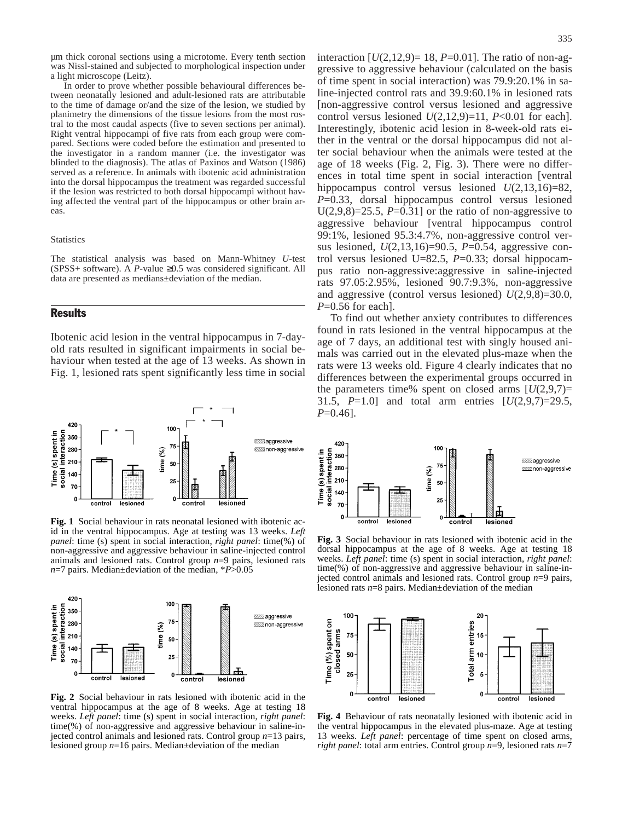µm thick coronal sections using a microtome. Every tenth section was Nissl-stained and subjected to morphological inspection under a light microscope (Leitz).

In order to prove whether possible behavioural differences between neonatally lesioned and adult-lesioned rats are attributable to the time of damage or/and the size of the lesion, we studied by planimetry the dimensions of the tissue lesions from the most rostral to the most caudal aspects (five to seven sections per animal). Right ventral hippocampi of five rats from each group were compared. Sections were coded before the estimation and presented to the investigator in a random manner (i.e. the investigator was blinded to the diagnosis). The atlas of Paxinos and Watson (1986) served as a reference. In animals with ibotenic acid administration into the dorsal hippocampus the treatment was regarded successful if the lesion was restricted to both dorsal hippocampi without having affected the ventral part of the hippocampus or other brain areas.

#### **Statistics**

The statistical analysis was based on Mann-Whitney *U*-test (SPSS+ software). A  $P$ -value  $\geq 0.5$  was considered significant. All data are presented as medians±deviation of the median.

## **Results**

Ibotenic acid lesion in the ventral hippocampus in 7-dayold rats resulted in significant impairments in social behaviour when tested at the age of 13 weeks. As shown in Fig. 1, lesioned rats spent significantly less time in social



**Fig. 1** Social behaviour in rats neonatal lesioned with ibotenic acid in the ventral hippocampus. Age at testing was 13 weeks. *Left panel*: time (s) spent in social interaction, *right panel*: time(%) of non-aggressive and aggressive behaviour in saline-injected control animals and lesioned rats. Control group *n*=9 pairs, lesioned rats *n*=7 pairs. Median±deviation of the median, \**P*>0.05



**Fig. 2** Social behaviour in rats lesioned with ibotenic acid in the ventral hippocampus at the age of 8 weeks. Age at testing 18 weeks. *Left panel*: time (s) spent in social interaction, *right panel*: time(%) of non-aggressive and aggressive behaviour in saline-injected control animals and lesioned rats. Control group *n*=13 pairs, lesioned group *n*=16 pairs. Median±deviation of the median

interaction  $[U(2,12,9) = 18, P=0.01]$ . The ratio of non-aggressive to aggressive behaviour (calculated on the basis of time spent in social interaction) was 79.9:20.1% in saline-injected control rats and 39.9:60.1% in lesioned rats [non-aggressive control versus lesioned and aggressive control versus lesioned  $U(2,12,9)=11$ ,  $P<0.01$  for each]. Interestingly, ibotenic acid lesion in 8-week-old rats either in the ventral or the dorsal hippocampus did not alter social behaviour when the animals were tested at the age of 18 weeks (Fig. 2, Fig. 3). There were no differences in total time spent in social interaction [ventral hippocampus control versus lesioned  $U(2,13,16)=82$ , *P*=0.33, dorsal hippocampus control versus lesioned  $U(2,9,8)=25.5$ ,  $P=0.31$ ] or the ratio of non-aggressive to aggressive behaviour [ventral hippocampus control 99:1%, lesioned 95.3:4.7%, non-aggressive control versus lesioned, *U*(2,13,16)=90.5, *P*=0.54, aggressive control versus lesioned U=82.5, *P*=0.33; dorsal hippocampus ratio non-aggressive:aggressive in saline-injected rats 97.05:2.95%, lesioned 90.7:9.3%, non-aggressive and aggressive (control versus lesioned) *U*(2,9,8)=30.0, *P*=0.56 for each].

To find out whether anxiety contributes to differences found in rats lesioned in the ventral hippocampus at the age of 7 days, an additional test with singly housed animals was carried out in the elevated plus-maze when the rats were 13 weeks old. Figure 4 clearly indicates that no differences between the experimental groups occurred in the parameters time% spent on closed arms  $[U(2,9,7)$ = 31.5, *P*=1.0] and total arm entries [*U*(2,9,7)=29.5, *P*=0.46].



**Fig. 3** Social behaviour in rats lesioned with ibotenic acid in the dorsal hippocampus at the age of 8 weeks. Age at testing 18 weeks. *Left panel*: time (s) spent in social interaction, *right panel*: time(%) of non-aggressive and aggressive behaviour in saline-injected control animals and lesioned rats. Control group *n*=9 pairs, lesioned rats *n*=8 pairs. Median±deviation of the median



**Fig. 4** Behaviour of rats neonatally lesioned with ibotenic acid in the ventral hippocampus in the elevated plus-maze. Age at testing 13 weeks. *Left panel*: percentage of time spent on closed arms, *right panel*: total arm entries. Control group *n*=9, lesioned rats *n*=7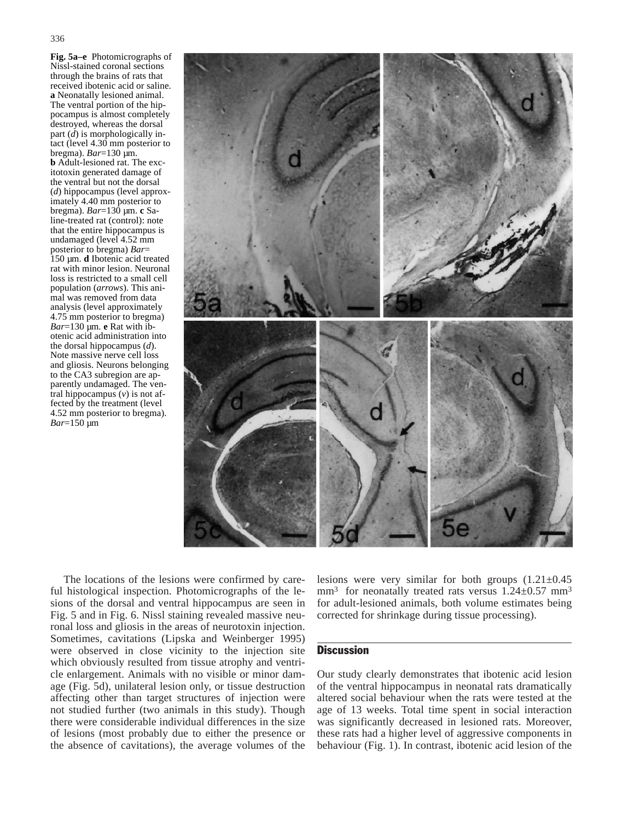**Fig. 5a–e** Photomicrographs of Nissl-stained coronal sections through the brains of rats that received ibotenic acid or saline. **a** Neonatally lesioned animal. The ventral portion of the hippocampus is almost completely destroyed, whereas the dorsal part (*d*) is morphologically intact (level 4.30 mm posterior to bregma). *Bar*=130 µm. **b** Adult-lesioned rat. The excitotoxin generated damage of the ventral but not the dorsal (*d*) hippocampus (level approximately 4.40 mm posterior to bregma). *Bar*=130 µm. **c** Saline-treated rat (control): note that the entire hippocampus is undamaged (level 4.52 mm posterior to bregma) *Bar*= 150 µm. **d** Ibotenic acid treated rat with minor lesion. Neuronal loss is restricted to a small cell population (*arrows*). This animal was removed from data analysis (level approximately 4.75 mm posterior to bregma) *Bar*=130 µm. **e** Rat with ibotenic acid administration into the dorsal hippocampus (*d*). Note massive nerve cell loss and gliosis. Neurons belonging to the CA3 subregion are apparently undamaged. The ventral hippocampus (*v*) is not affected by the treatment (level 4.52 mm posterior to bregma). *Bar*=150 µm



The locations of the lesions were confirmed by careful histological inspection. Photomicrographs of the lesions of the dorsal and ventral hippocampus are seen in Fig. 5 and in Fig. 6. Nissl staining revealed massive neuronal loss and gliosis in the areas of neurotoxin injection. Sometimes, cavitations (Lipska and Weinberger 1995) were observed in close vicinity to the injection site which obviously resulted from tissue atrophy and ventricle enlargement. Animals with no visible or minor damage (Fig. 5d), unilateral lesion only, or tissue destruction affecting other than target structures of injection were not studied further (two animals in this study). Though there were considerable individual differences in the size of lesions (most probably due to either the presence or the absence of cavitations), the average volumes of the lesions were very similar for both groups  $(1.21 \pm 0.45)$ mm<sup>3</sup> for neonatally treated rats versus  $1.24 \pm 0.57$  mm<sup>3</sup> for adult-lesioned animals, both volume estimates being corrected for shrinkage during tissue processing).

## **Discussion**

Our study clearly demonstrates that ibotenic acid lesion of the ventral hippocampus in neonatal rats dramatically altered social behaviour when the rats were tested at the age of 13 weeks. Total time spent in social interaction was significantly decreased in lesioned rats. Moreover, these rats had a higher level of aggressive components in behaviour (Fig. 1). In contrast, ibotenic acid lesion of the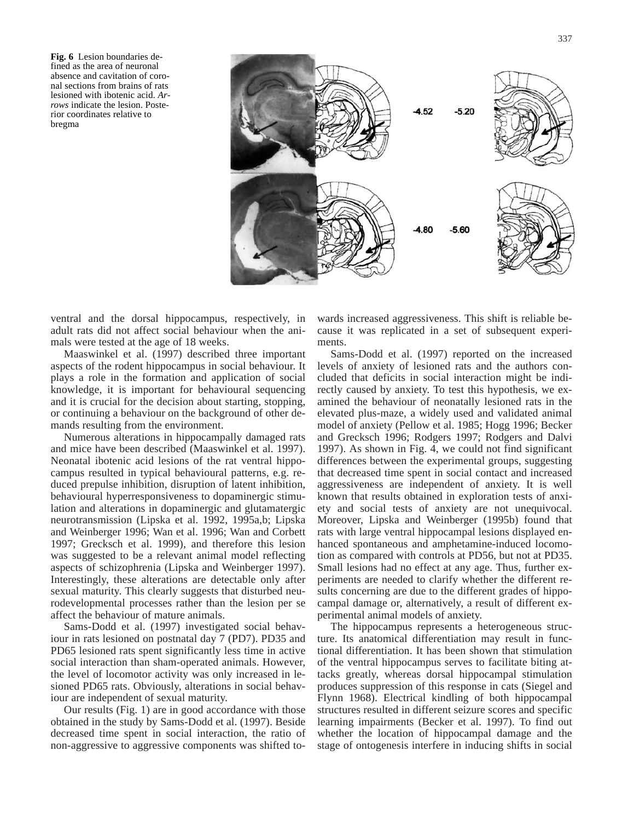**Fig. 6** Lesion boundaries defined as the area of neuronal absence and cavitation of coronal sections from brains of rats lesioned with ibotenic acid. *Arrows* indicate the lesion. Posterior coordinates relative to bregma



ventral and the dorsal hippocampus, respectively, in adult rats did not affect social behaviour when the animals were tested at the age of 18 weeks.

Maaswinkel et al. (1997) described three important aspects of the rodent hippocampus in social behaviour. It plays a role in the formation and application of social knowledge, it is important for behavioural sequencing and it is crucial for the decision about starting, stopping, or continuing a behaviour on the background of other demands resulting from the environment.

Numerous alterations in hippocampally damaged rats and mice have been described (Maaswinkel et al. 1997). Neonatal ibotenic acid lesions of the rat ventral hippocampus resulted in typical behavioural patterns, e.g. reduced prepulse inhibition, disruption of latent inhibition, behavioural hyperresponsiveness to dopaminergic stimulation and alterations in dopaminergic and glutamatergic neurotransmission (Lipska et al. 1992, 1995a,b; Lipska and Weinberger 1996; Wan et al. 1996; Wan and Corbett 1997; Grecksch et al. 1999), and therefore this lesion was suggested to be a relevant animal model reflecting aspects of schizophrenia (Lipska and Weinberger 1997). Interestingly, these alterations are detectable only after sexual maturity. This clearly suggests that disturbed neurodevelopmental processes rather than the lesion per se affect the behaviour of mature animals.

Sams-Dodd et al. (1997) investigated social behaviour in rats lesioned on postnatal day 7 (PD7). PD35 and PD65 lesioned rats spent significantly less time in active social interaction than sham-operated animals. However, the level of locomotor activity was only increased in lesioned PD65 rats. Obviously, alterations in social behaviour are independent of sexual maturity.

Our results (Fig. 1) are in good accordance with those obtained in the study by Sams-Dodd et al. (1997). Beside decreased time spent in social interaction, the ratio of non-aggressive to aggressive components was shifted towards increased aggressiveness. This shift is reliable because it was replicated in a set of subsequent experiments.

Sams-Dodd et al. (1997) reported on the increased levels of anxiety of lesioned rats and the authors concluded that deficits in social interaction might be indirectly caused by anxiety. To test this hypothesis, we examined the behaviour of neonatally lesioned rats in the elevated plus-maze, a widely used and validated animal model of anxiety (Pellow et al. 1985; Hogg 1996; Becker and Grecksch 1996; Rodgers 1997; Rodgers and Dalvi 1997). As shown in Fig. 4, we could not find significant differences between the experimental groups, suggesting that decreased time spent in social contact and increased aggressiveness are independent of anxiety. It is well known that results obtained in exploration tests of anxiety and social tests of anxiety are not unequivocal. Moreover, Lipska and Weinberger (1995b) found that rats with large ventral hippocampal lesions displayed enhanced spontaneous and amphetamine-induced locomotion as compared with controls at PD56, but not at PD35. Small lesions had no effect at any age. Thus, further experiments are needed to clarify whether the different results concerning are due to the different grades of hippocampal damage or, alternatively, a result of different experimental animal models of anxiety.

The hippocampus represents a heterogeneous structure. Its anatomical differentiation may result in functional differentiation. It has been shown that stimulation of the ventral hippocampus serves to facilitate biting attacks greatly, whereas dorsal hippocampal stimulation produces suppression of this response in cats (Siegel and Flynn 1968). Electrical kindling of both hippocampal structures resulted in different seizure scores and specific learning impairments (Becker et al. 1997). To find out whether the location of hippocampal damage and the stage of ontogenesis interfere in inducing shifts in social